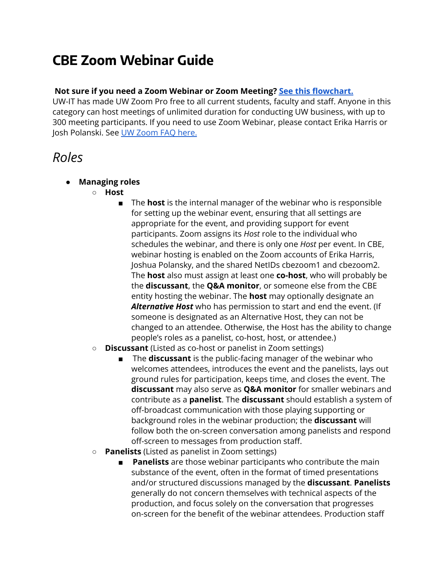# **CBE Zoom Webinar Guide**

## **Not sure if you need a Zoom Webinar or Zoom Meeting? See this [flowchart.](https://app.lucidchart.com/lucidchart/b01a344c-be9c-4018-a349-b1f877025590/view?page=0_0#?folder_id=home&browser=icon)**

UW-IT has made UW Zoom Pro free to all current students, faculty and staff. Anyone in this category can host meetings of unlimited duration for conducting UW business, with up to 300 meeting participants. If you need to use Zoom Webinar, please contact Erika Harris or Josh Polanski. See UW [Zoom](https://itconnect.uw.edu/connect/phones/conferencing/zoom-video-conferencing/uw-zoom-faq/) FAQ here.

## *Roles*

- **● Managing roles**
	- **○ Host**
		- The **host** is the internal manager of the webinar who is responsible for setting up the webinar event, ensuring that all settings are appropriate for the event, and providing support for event participants. Zoom assigns its *Host* role to the individual who schedules the webinar, and there is only one *Host* per event. In CBE, webinar hosting is enabled on the Zoom accounts of Erika Harris, Joshua Polansky, and the shared NetIDs cbezoom1 and cbezoom2. The **host** also must assign at least one **co-host**, who will probably be the **discussant**, the **Q&A monitor**, or someone else from the CBE entity hosting the webinar. The **host** may optionally designate an *Alternative Host* who has permission to start and end the event. (If someone is designated as an Alternative Host, they can not be changed to an attendee. Otherwise, the Host has the ability to change people's roles as a panelist, co-host, host, or attendee.)
	- **○ Discussant** (Listed as co-host or panelist in Zoom settings)
		- The **discussant** is the public-facing manager of the webinar who welcomes attendees, introduces the event and the panelists, lays out ground rules for participation, keeps time, and closes the event. The **discussant** may also serve as **Q&A monitor** for smaller webinars and contribute as a **panelist**. The **discussant** should establish a system of off-broadcast communication with those playing supporting or background roles in the webinar production; the **discussant** will follow both the on-screen conversation among panelists and respond off-screen to messages from production staff.
	- **○ Panelists** (Listed as panelist in Zoom settings)
		- **■ Panelists** are those webinar participants who contribute the main substance of the event, often in the format of timed presentations and/or structured discussions managed by the **discussant**. **Panelists** generally do not concern themselves with technical aspects of the production, and focus solely on the conversation that progresses on-screen for the benefit of the webinar attendees. Production staff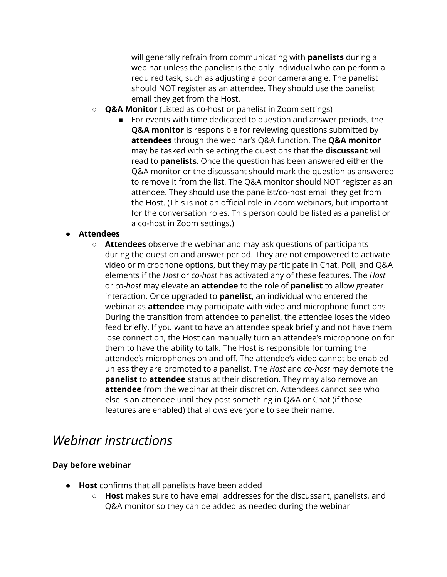will generally refrain from communicating with **panelists** during a webinar unless the panelist is the only individual who can perform a required task, such as adjusting a poor camera angle. The panelist should NOT register as an attendee. They should use the panelist email they get from the Host.

- **○ Q&A Monitor** (Listed as co-host or panelist in Zoom settings)
	- For events with time dedicated to question and answer periods, the **Q&A monitor** is responsible for reviewing questions submitted by **attendees** through the webinar's Q&A function. The **Q&A monitor** may be tasked with selecting the questions that the **discussant** will read to **panelists**. Once the question has been answered either the Q&A monitor or the discussant should mark the question as answered to remove it from the list. The Q&A monitor should NOT register as an attendee. They should use the panelist/co-host email they get from the Host. (This is not an official role in Zoom webinars, but important for the conversation roles. This person could be listed as a panelist or a co-host in Zoom settings.)

## **● Attendees**

**○ Attendees** observe the webinar and may ask questions of participants during the question and answer period. They are not empowered to activate video or microphone options, but they may participate in Chat, Poll, and Q&A elements if the *Host* or *co-host* has activated any of these features. The *Host* or *co-host* may elevate an **attendee** to the role of **panelist** to allow greater interaction. Once upgraded to **panelist**, an individual who entered the webinar as **attendee** may participate with video and microphone functions. During the transition from attendee to panelist, the attendee loses the video feed briefly. If you want to have an attendee speak briefly and not have them lose connection, the Host can manually turn an attendee's microphone on for them to have the ability to talk. The Host is responsible for turning the attendee's microphones on and off. The attendee's video cannot be enabled unless they are promoted to a panelist. The *Host* and *co-host* may demote the **panelist** to **attendee** status at their discretion. They may also remove an **attendee** from the webinar at their discretion. Attendees cannot see who else is an attendee until they post something in Q&A or Chat (if those features are enabled) that allows everyone to see their name.

## *Webinar instructions*

## **Day before webinar**

- **Host** confirms that all panelists have been added
	- **Host** makes sure to have email addresses for the discussant, panelists, and Q&A monitor so they can be added as needed during the webinar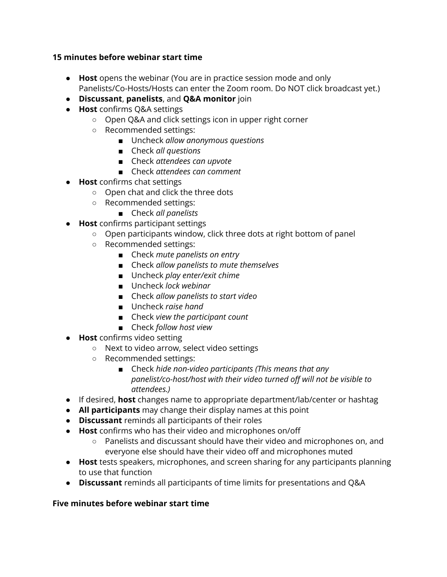## **15 minutes before webinar start time**

- **Host** opens the webinar (You are in practice session mode and only Panelists/Co-Hosts/Hosts can enter the Zoom room. Do NOT click broadcast yet.)
- **Discussant**, **panelists**, and **Q&A monitor** join
- **Host** confirms Q&A settings
	- Open Q&A and click settings icon in upper right corner
	- Recommended settings:
		- Uncheck *allow anonymous questions*
		- Check *all questions*
		- Check *attendees can upvote*
		- Check *attendees can comment*
- **Host** confirms chat settings
	- Open chat and click the three dots
	- Recommended settings:
		- Check *all panelists*
- **Host** confirms participant settings
	- Open participants window, click three dots at right bottom of panel
	- Recommended settings:
		- Check *mute* panelists on entry
		- Check *allow panelists to mute themselves*
		- *■* Uncheck *play enter/exit chime*
		- *■* Uncheck *lock webinar*
		- *■* Check *allow panelists to start video*
		- *■* Uncheck *raise hand*
		- *■* Check *view the participant count*
		- *■* Check *follow host view*
- *●* **Host** confirms video setting
	- *○* Next to video arrow, select video settings
	- *○* Recommended settings:
		- *■* Check *hide non-video participants (This means that any panelist/co-host/host with their video turned off will not be visible to attendees.)*
- *●* If desired, **host** changes name to appropriate department/lab/center or hashtag
- *●* **All participants** may change their display names at this point
- *●* **Discussant** reminds all participants of their roles
- *●* **Host** confirms who has their video and microphones on/off
	- *○* Panelists and discussant should have their video and microphones on, and everyone else should have their video off and microphones muted
- *●* **Host** tests speakers, microphones, and screen sharing for any participants planning to use that function
- *●* **Discussant** reminds all participants of time limits for presentations and Q&A

## **Five minutes before webinar start time**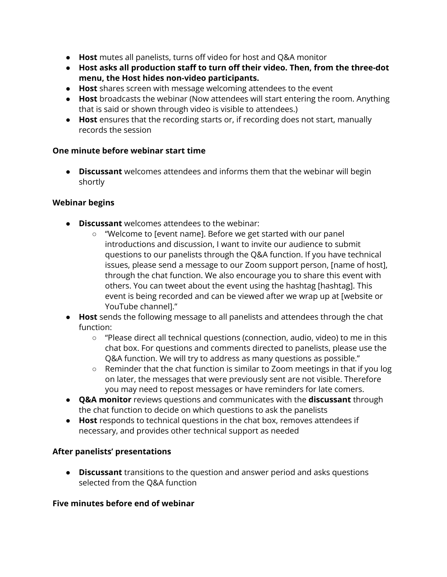- **Host** mutes all panelists, turns off video for host and Q&A monitor
- **● Host asks all production staff to turn off their video. Then, from the three-dot menu, the Host hides non-video participants.**
- **Host** shares screen with message welcoming attendees to the event
- **Host** broadcasts the webinar (Now attendees will start entering the room. Anything that is said or shown through video is visible to attendees.)
- **Host** ensures that the recording starts or, if recording does not start, manually records the session

## **One minute before webinar start time**

**• Discussant** welcomes attendees and informs them that the webinar will begin shortly

## **Webinar begins**

- **Discussant** welcomes attendees to the webinar:
	- "Welcome to [event name]. Before we get started with our panel introductions and discussion, I want to invite our audience to submit questions to our panelists through the Q&A function. If you have technical issues, please send a message to our Zoom support person, [name of host], through the chat function. We also encourage you to share this event with others. You can tweet about the event using the hashtag [hashtag]. This event is being recorded and can be viewed after we wrap up at [website or YouTube channel]."
- **Host** sends the following message to all panelists and attendees through the chat function:
	- "Please direct all technical questions (connection, audio, video) to me in this chat box. For questions and comments directed to panelists, please use the Q&A function. We will try to address as many questions as possible."
	- Reminder that the chat function is similar to Zoom meetings in that if you log on later, the messages that were previously sent are not visible. Therefore you may need to repost messages or have reminders for late comers.
- **Q&A monitor** reviews questions and communicates with the **discussant** through the chat function to decide on which questions to ask the panelists
- **Host** responds to technical questions in the chat box, removes attendees if necessary, and provides other technical support as needed

## **After panelists' presentations**

● **Discussant** transitions to the question and answer period and asks questions selected from the Q&A function

## **Five minutes before end of webinar**